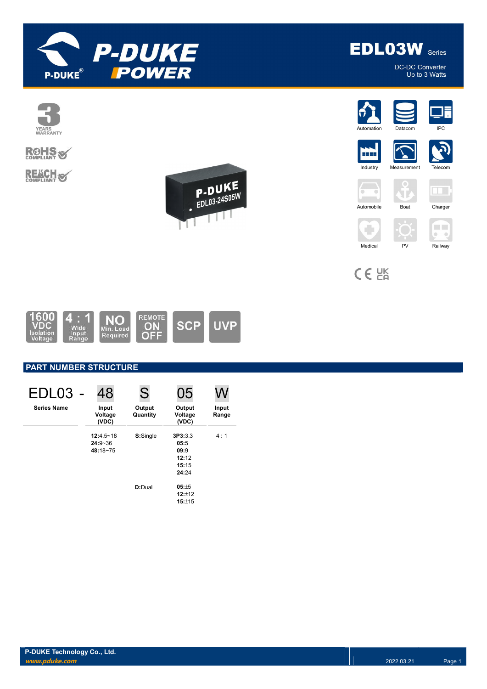

**EDLO3W** Series DC-DC Converter

Up to 3 Watts



 $C \in \mathcal{C}^{\text{K}}_{\text{A}}$ 



# PART NUMBER STRUCTURE

| EDL03 -            | 48                                   | S                  | 05                                                 |                |
|--------------------|--------------------------------------|--------------------|----------------------------------------------------|----------------|
| <b>Series Name</b> | Input<br>Voltage<br>(VDC)            | Output<br>Quantity | Output<br>Voltage<br>(VDC)                         | Input<br>Range |
|                    | 12:4.5~18<br>$24:9 - 36$<br>48:18~75 | S:Single           | 3P3:3.3<br>05:5<br>09:9<br>12:12<br>15:15<br>24:24 | 4:1            |
|                    |                                      | D:Dual             | $05: +5$<br>$12:+12$<br>15:±15                     |                |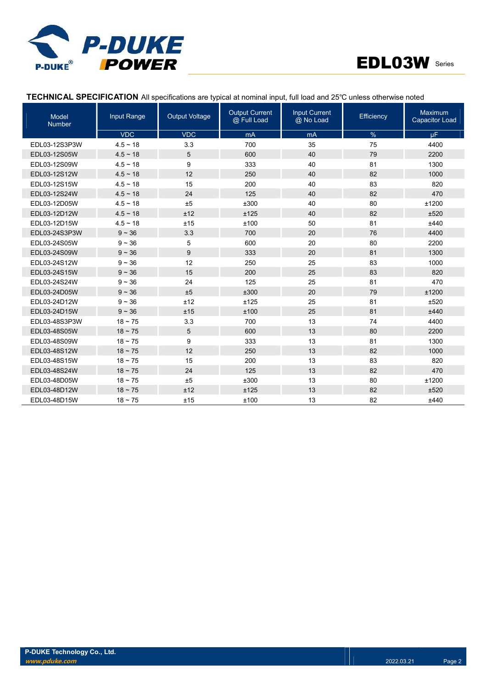



### TECHNICAL SPECIFICATION All specifications are typical at nominal input, full load and 25℃ unless otherwise noted

| Model<br><b>Number</b> | Input Range   | <b>Output Voltage</b> | <b>Output Current</b><br>@ Full Load | <b>Input Current</b><br>@ No Load | Efficiency | Maximum<br><b>Capacitor Load</b> |
|------------------------|---------------|-----------------------|--------------------------------------|-----------------------------------|------------|----------------------------------|
|                        | <b>VDC</b>    | <b>VDC</b>            | mA                                   | mA                                | %          | μF.                              |
| EDL03-12S3P3W          | $4.5 \sim 18$ | 3.3                   | 700                                  | 35                                | 75         | 4400                             |
| EDL03-12S05W           | $4.5 \sim 18$ | 5                     | 600                                  | 40                                | 79         | 2200                             |
| EDL03-12S09W           | $4.5 \sim 18$ | 9                     | 333                                  | 40                                | 81         | 1300                             |
| EDL03-12S12W           | $4.5 \sim 18$ | 12                    | 250                                  | 40                                | 82         | 1000                             |
| EDL03-12S15W           | $4.5 \sim 18$ | 15                    | 200                                  | 40                                | 83         | 820                              |
| EDL03-12S24W           | $4.5 \sim 18$ | 24                    | 125                                  | 40                                | 82         | 470                              |
| EDL03-12D05W           | $4.5 \sim 18$ | ±5                    | ±300                                 | 40                                | 80         | ±1200                            |
| EDL03-12D12W           | $4.5 \sim 18$ | ±12                   | ±125                                 | 40                                | 82         | ±520                             |
| EDL03-12D15W           | $4.5 - 18$    | ±15                   | ±100                                 | 50                                | 81         | ±440                             |
| EDL03-24S3P3W          | $9 - 36$      | 3.3                   | 700                                  | 20                                | 76         | 4400                             |
| EDL03-24S05W           | $9 - 36$      | 5                     | 600                                  | 20                                | 80         | 2200                             |
| EDL03-24S09W           | $9 - 36$      | 9                     | 333                                  | 20                                | 81         | 1300                             |
| EDL03-24S12W           | $9 - 36$      | 12                    | 250                                  | 25                                | 83         | 1000                             |
| EDL03-24S15W           | $9 - 36$      | 15                    | 200                                  | 25                                | 83         | 820                              |
| EDL03-24S24W           | $9 - 36$      | 24                    | 125                                  | 25                                | 81         | 470                              |
| EDL03-24D05W           | $9 - 36$      | ±5                    | ±300                                 | 20                                | 79         | ±1200                            |
| EDL03-24D12W           | $9 - 36$      | ±12                   | ±125                                 | 25                                | 81         | ±520                             |
| EDL03-24D15W           | $9 - 36$      | ±15                   | ±100                                 | 25                                | 81         | ±440                             |
| EDL03-48S3P3W          | $18 - 75$     | 3.3                   | 700                                  | 13                                | 74         | 4400                             |
| EDL03-48S05W           | $18 - 75$     | 5                     | 600                                  | 13                                | 80         | 2200                             |
| EDL03-48S09W           | $18 \sim 75$  | 9                     | 333                                  | 13                                | 81         | 1300                             |
| EDL03-48S12W           | $18 - 75$     | 12                    | 250                                  | 13                                | 82         | 1000                             |
| EDL03-48S15W           | $18 - 75$     | 15                    | 200                                  | 13                                | 83         | 820                              |
| EDL03-48S24W           | $18 - 75$     | 24                    | 125                                  | 13                                | 82         | 470                              |
| EDL03-48D05W           | $18 - 75$     | ±5                    | ±300                                 | 13                                | 80         | ±1200                            |
| EDL03-48D12W           | $18 \sim 75$  | ±12                   | ±125                                 | 13                                | 82         | ±520                             |
| EDL03-48D15W           | $18 - 75$     | ±15                   | ±100                                 | 13                                | 82         | ±440                             |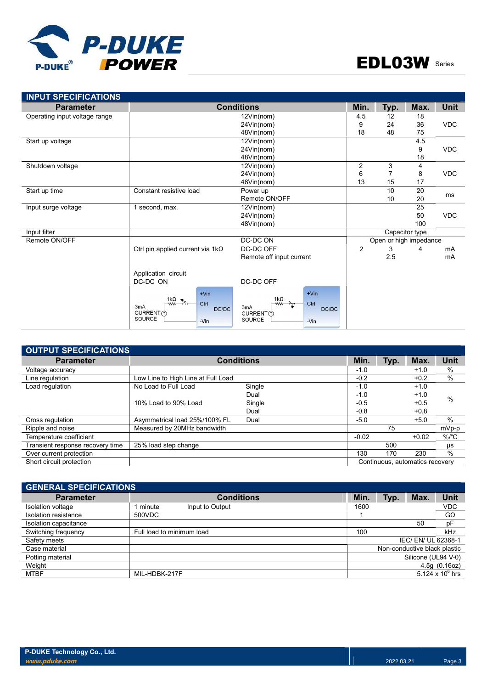

| <b>INPUT SPECIFICATIONS</b>   |                                                 |                            |                |      |                        |            |
|-------------------------------|-------------------------------------------------|----------------------------|----------------|------|------------------------|------------|
| <b>Parameter</b>              |                                                 | <b>Conditions</b>          | Min.           | Typ. | Max.                   | Unit       |
| Operating input voltage range |                                                 | 12Vin(nom)                 | 4.5            | 12   | 18                     |            |
|                               |                                                 | 24Vin(nom)                 | 9              | 24   | 36                     | <b>VDC</b> |
|                               |                                                 | 48Vin(nom)                 | 18             | 48   | 75                     |            |
| Start up voltage              |                                                 | 12Vin(nom)                 |                |      | 4.5                    |            |
|                               |                                                 | 24Vin(nom)                 |                |      | 9                      | <b>VDC</b> |
|                               |                                                 | 48Vin(nom)                 |                |      | 18                     |            |
| Shutdown voltage              |                                                 | 12Vin(nom)                 | 2              | 3    | 4                      |            |
|                               |                                                 | 24Vin(nom)                 | 6              |      | 8                      | <b>VDC</b> |
|                               |                                                 | 48Vin(nom)                 | 13             | 15   | 17                     |            |
| Start up time                 | Constant resistive load                         | Power up                   |                | 10   | 20                     | ms         |
|                               |                                                 | Remote ON/OFF              |                | 10   | 20                     |            |
| Input surge voltage           | 1 second, max.                                  | 12Vin(nom)                 |                |      | 25                     |            |
|                               |                                                 | 24Vin(nom)                 |                |      | 50                     | <b>VDC</b> |
|                               |                                                 | 48Vin(nom)                 |                |      | 100                    |            |
| Input filter                  |                                                 |                            |                |      | Capacitor type         |            |
| Remote ON/OFF                 |                                                 | DC-DC ON                   |                |      | Open or high impedance |            |
|                               | Ctrl pin applied current via $1k\Omega$         | DC-DC OFF                  | $\overline{2}$ | 3    | 4                      | mA         |
|                               |                                                 | Remote off input current   |                | 2.5  |                        | mA         |
|                               |                                                 |                            |                |      |                        |            |
|                               | Application circuit                             |                            |                |      |                        |            |
|                               | DC-DC ON                                        | DC-DC OFF                  |                |      |                        |            |
|                               | $+V$ in                                         | $+V$ in                    |                |      |                        |            |
|                               | 1 $k\Omega$<br>Ctrl<br>-ww-<br>3 <sub>m</sub> A | $1k\Omega$<br>Ctrl         |                |      |                        |            |
|                               | DC/DC<br>CURRENT (1)                            | 3mA<br>DC/DC<br>CURRENT(1) |                |      |                        |            |
|                               | SOURCE<br>-Vin                                  | <b>SOURCE</b><br>-Vin      |                |      |                        |            |
|                               |                                                 |                            |                |      |                        |            |

| OUTPUT SPECIFICATIONS            |                                    |                   |         |      |                                 |                    |
|----------------------------------|------------------------------------|-------------------|---------|------|---------------------------------|--------------------|
| <b>Parameter</b>                 |                                    | <b>Conditions</b> | Min.    | Typ. | Max.                            | Unit               |
| Voltage accuracy                 |                                    |                   | $-1.0$  |      | $+1.0$                          | $\%$               |
| Line regulation                  | Low Line to High Line at Full Load |                   | $-0.2$  |      | $+0.2$                          | $\%$               |
| Load regulation                  | No Load to Full Load               | Single            | $-1.0$  |      | $+1.0$                          |                    |
|                                  |                                    | Dual              | $-1.0$  |      | $+1.0$                          | $\%$               |
|                                  | 10% Load to 90% Load               | Single            | $-0.5$  |      | $+0.5$                          |                    |
|                                  |                                    | Dual              | $-0.8$  |      | $+0.8$                          |                    |
| Cross regulation                 | Asymmetrical load 25%/100% FL      | Dual              | $-5.0$  |      | $+5.0$                          | $\%$               |
| Ripple and noise                 | Measured by 20MHz bandwidth        |                   |         | 75   |                                 | mVp-p              |
| Temperature coefficient          |                                    |                   | $-0.02$ |      | $+0.02$                         | $%$ / $^{\circ}$ C |
| Transient response recovery time | 25% load step change               |                   |         | 500  |                                 | $\mu s$            |
| Over current protection          |                                    |                   | 130     | 170  | 230                             | $\%$               |
| Short circuit protection         |                                    |                   |         |      | Continuous, automatics recovery |                    |

| <b>GENERAL SPECIFICATIONS</b> |                             |      |      |                              |                     |  |
|-------------------------------|-----------------------------|------|------|------------------------------|---------------------|--|
| <b>Parameter</b>              | <b>Conditions</b>           | Min. | Typ. | Max.                         | <b>Unit</b>         |  |
| Isolation voltage             | 1 minute<br>Input to Output | 1600 |      |                              | <b>VDC</b>          |  |
| Isolation resistance          | 500VDC                      |      |      |                              | $G\Omega$           |  |
| Isolation capacitance         |                             |      |      | 50                           | pF                  |  |
| Switching frequency           | Full load to minimum load   | 100  |      |                              | kHz                 |  |
| Safety meets                  |                             |      |      | IEC/ EN/ UL 62368-1          |                     |  |
| Case material                 |                             |      |      | Non-conductive black plastic |                     |  |
| Potting material              |                             |      |      | Silicone (UL94 V-0)          |                     |  |
| Weight                        |                             |      |      |                              | 4.5g(0.16oz)        |  |
| <b>MTBF</b>                   | MIL-HDBK-217F               |      |      |                              | 5.124 x 10 $^6$ hrs |  |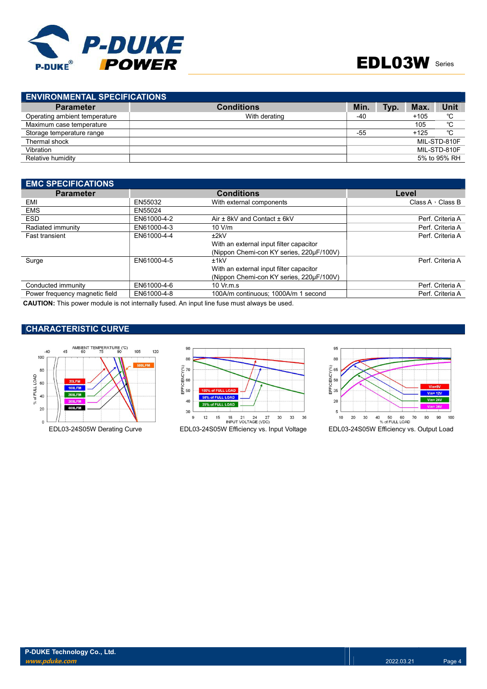

| <b>ENVIRONMENTAL SPECIFICATIONS</b> |       |      |        |              |  |  |
|-------------------------------------|-------|------|--------|--------------|--|--|
| <b>Conditions</b>                   | Min.  | Typ. | Max.   | Unit         |  |  |
| With derating                       | -40   |      | $+105$ | °C           |  |  |
|                                     |       |      | 105    | °C           |  |  |
|                                     | $-55$ |      | $+125$ | °C           |  |  |
|                                     |       |      |        | MIL-STD-810F |  |  |
|                                     |       |      |        | MIL-STD-810F |  |  |
|                                     |       |      |        | 5% to 95% RH |  |  |
|                                     |       |      |        |              |  |  |

| <b>EMC SPECIFICATIONS</b>                                                                                   |             |                                          |                         |
|-------------------------------------------------------------------------------------------------------------|-------------|------------------------------------------|-------------------------|
| <b>Parameter</b>                                                                                            |             | <b>Conditions</b>                        | Level                   |
| EMI                                                                                                         | EN55032     | With external components                 | Class A $\cdot$ Class B |
| <b>EMS</b>                                                                                                  | EN55024     |                                          |                         |
| <b>ESD</b>                                                                                                  | EN61000-4-2 | Air ± 8kV and Contact ± 6kV              | Perf. Criteria A        |
| Radiated immunity                                                                                           | EN61000-4-3 | 10 V/m                                   | Perf. Criteria A        |
| <b>Fast transient</b>                                                                                       | EN61000-4-4 | ±2kV                                     | Perf. Criteria A        |
|                                                                                                             |             | With an external input filter capacitor  |                         |
|                                                                                                             |             | (Nippon Chemi-con KY series, 220uF/100V) |                         |
| Surge                                                                                                       | EN61000-4-5 | ±1kV                                     | Perf. Criteria A        |
|                                                                                                             |             | With an external input filter capacitor  |                         |
|                                                                                                             |             | (Nippon Chemi-con KY series, 220µF/100V) |                         |
| Conducted immunity                                                                                          | EN61000-4-6 | $10 \text{ Vr}$ m.s.                     | Perf. Criteria A        |
| Power frequency magnetic field                                                                              | EN61000-4-8 | 100A/m continuous: 1000A/m 1 second      | Perf. Criteria A        |
| AALITIAN: This company date is a still and the face of Address of the Constantine description of the second |             |                                          |                         |

CAUTION: This power module is not internally fused. An input line fuse must always be used.

## CHARACTERISTIC CURVE





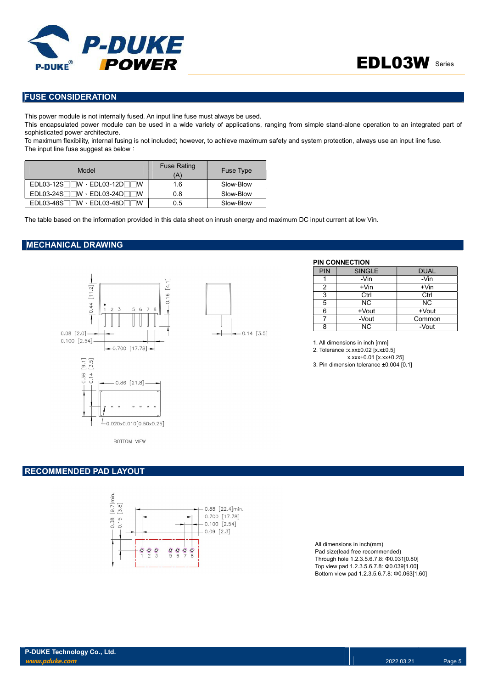

## FUSE CONSIDERATION

This power module is not internally fused. An input line fuse must always be used.

This encapsulated power module can be used in a wide variety of applications, ranging from simple stand-alone operation to an integrated part of sophisticated power architecture.

To maximum flexibility, internal fusing is not included; however, to achieve maximum safety and system protection, always use an input line fuse. The input line fuse suggest as below:

| Model                           | <b>Fuse Rating</b><br>'A) | <b>Fuse Type</b> |
|---------------------------------|---------------------------|------------------|
| $EDL03-12S$ $W \cdot EDL03-12D$ | 1.6                       | Slow-Blow        |
| $EDL03-24S$<br>⊺W ⋅ EDL03-24D୮  | 0.8                       | Slow-Blow        |
| ™ · EDL03-48DΓ<br>$EDL03-48S$   | 0.5                       | Slow-Blow        |

The table based on the information provided in this data sheet on inrush energy and maximum DC input current at low Vin.

### MECHANICAL DRAWING





#### PIN CONNECTION

| <b>PIN</b> | <b>SINGLE</b> | <b>DUAL</b> |
|------------|---------------|-------------|
|            | -Vin          | -Vin        |
| 2          | $+V$ in       | $+V$ in     |
| 3          | Ctrl          | Ctrl        |
| 5          | <b>NC</b>     | <b>NC</b>   |
| 6          | $+$ Vout      | $+$ Vout    |
|            | -Vout         | Common      |
| 8          | NC.           | -Vout       |

1. All dimensions in inch [mm] 2. Tolerance :x.xx±0.02 [x.x±0.5]

x.xxx±0.01 [x.xx±0.25]

3. Pin dimension tolerance ±0.004 [0.1]

BOTTOM VIEW

### RECOMMENDED PAD LAYOUT



All dimensions in inch(mm) Pad size(lead free recommended) Through hole 1.2.3.5.6.7.8: Φ0.031[0.80] Top view pad 1.2.3.5.6.7.8: Φ0.039[1.00] Bottom view pad 1.2.3.5.6.7.8: Φ0.063[1.60]